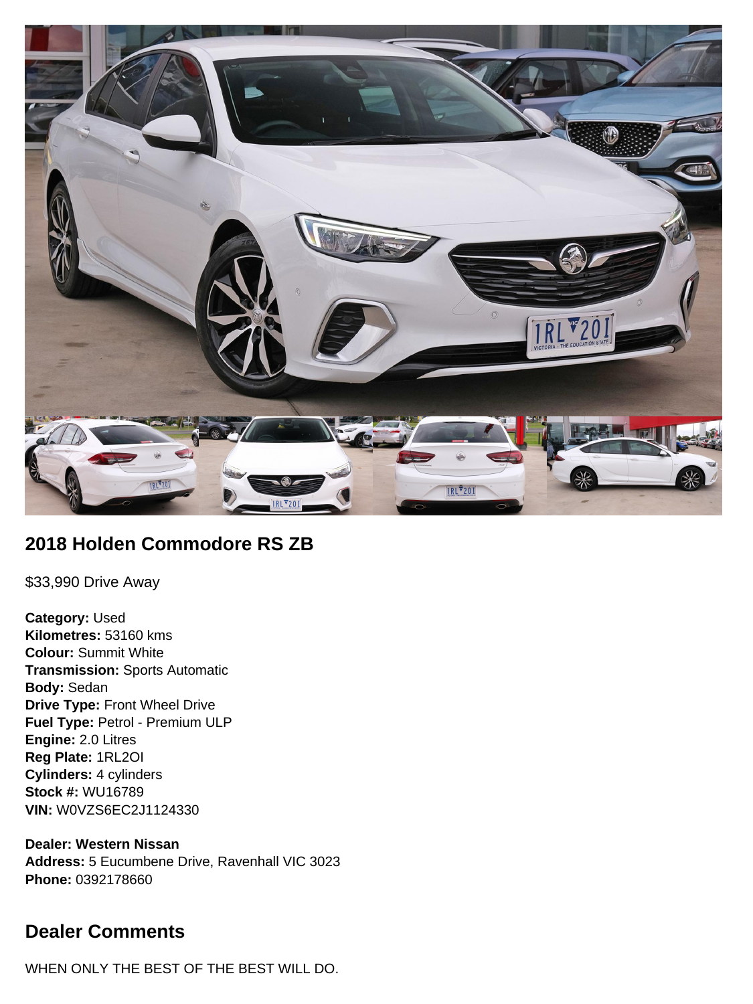

## **2018 Holden Commodore RS ZB**

\$33,990 Drive Away

**Category:** Used **Kilometres:** 53160 kms **Colour:** Summit White **Transmission:** Sports Automatic **Body:** Sedan **Drive Type:** Front Wheel Drive **Fuel Type:** Petrol - Premium ULP **Engine:** 2.0 Litres **Reg Plate:** 1RL2OI **Cylinders:** 4 cylinders **Stock #:** WU16789 **VIN:** W0VZS6EC2J1124330

**Dealer: Western Nissan Address:** 5 Eucumbene Drive, Ravenhall VIC 3023 **Phone:** 0392178660

## **Dealer Comments**

WHEN ONLY THE BEST OF THE BEST WILL DO.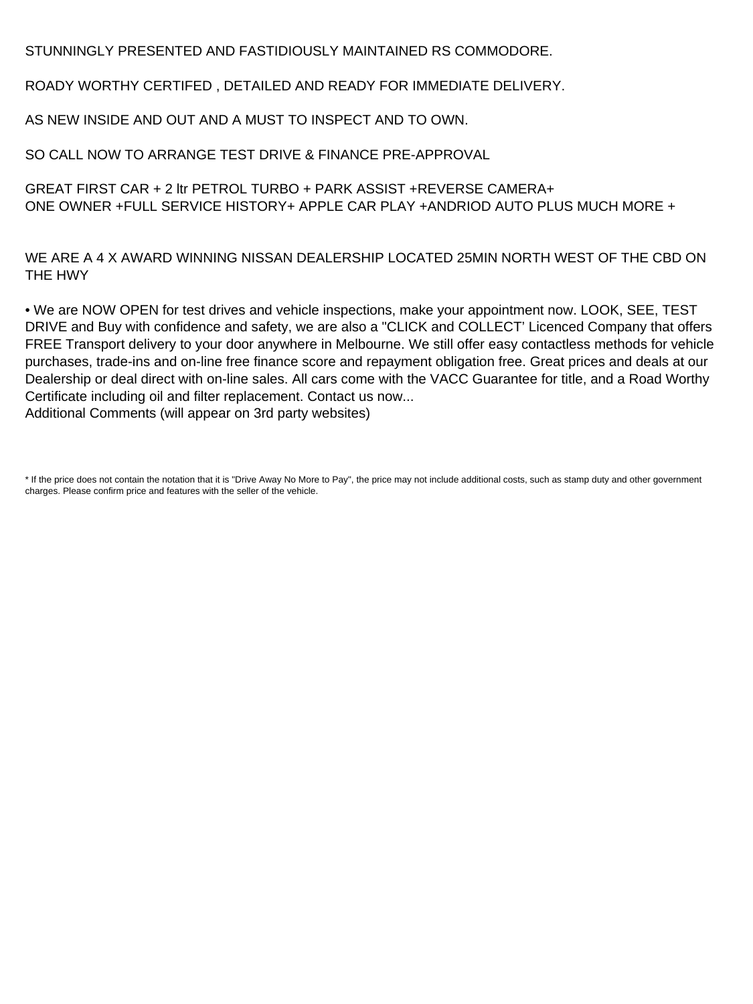STUNNINGLY PRESENTED AND FASTIDIOUSLY MAINTAINED RS COMMODORE.

ROADY WORTHY CERTIFED , DETAILED AND READY FOR IMMEDIATE DELIVERY.

AS NEW INSIDE AND OUT AND A MUST TO INSPECT AND TO OWN.

SO CALL NOW TO ARRANGE TEST DRIVE & FINANCE PRE-APPROVAL

GREAT FIRST CAR + 2 ltr PETROL TURBO + PARK ASSIST +REVERSE CAMERA+ ONE OWNER +FULL SERVICE HISTORY+ APPLE CAR PLAY +ANDRIOD AUTO PLUS MUCH MORE +

WE ARE A 4 X AWARD WINNING NISSAN DEALERSHIP LOCATED 25MIN NORTH WEST OF THE CBD ON THE HWY

• We are NOW OPEN for test drives and vehicle inspections, make your appointment now. LOOK, SEE, TEST DRIVE and Buy with confidence and safety, we are also a "CLICK and COLLECT' Licenced Company that offers FREE Transport delivery to your door anywhere in Melbourne. We still offer easy contactless methods for vehicle purchases, trade-ins and on-line free finance score and repayment obligation free. Great prices and deals at our Dealership or deal direct with on-line sales. All cars come with the VACC Guarantee for title, and a Road Worthy Certificate including oil and filter replacement. Contact us now... Additional Comments (will appear on 3rd party websites)

<sup>\*</sup> If the price does not contain the notation that it is "Drive Away No More to Pay", the price may not include additional costs, such as stamp duty and other government charges. Please confirm price and features with the seller of the vehicle.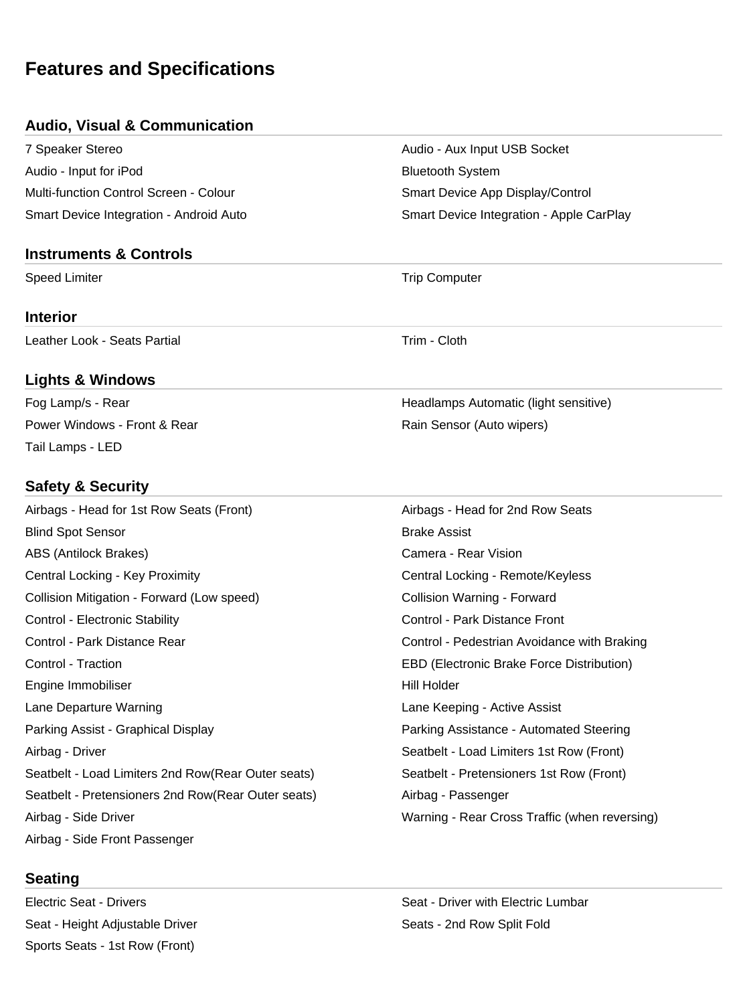# **Features and Specifications**

#### **Audio, Visual & Communication**

7 Speaker Stereo **Audio - Audio - Aux Input USB Socket** Audio - Input for iPod **Bluetooth System** Multi-function Control Screen - Colour Superson Smart Device App Display/Control Smart Device Integration - Android Auto Smart Device Integration - Apple CarPlay

#### **Instruments & Controls**

Speed Limiter **Trip Computer** Trip Computer

#### **Interior**

Leather Look - Seats Partial Trim - Cloth

## **Lights & Windows**

Fog Lamp/s - Rear **Headlamps Automatic (light sensitive) Headlamps Automatic (light sensitive)** Power Windows - Front & Rear Rain Sensor (Auto wipers) Rain Sensor (Auto wipers) Tail Lamps - LED

#### **Safety & Security**

| Airbags - Head for 1st Row Seats (Front)           | Airbags - Head for 2nd Row Seats              |
|----------------------------------------------------|-----------------------------------------------|
| <b>Blind Spot Sensor</b>                           | <b>Brake Assist</b>                           |
| ABS (Antilock Brakes)                              | Camera - Rear Vision                          |
| Central Locking - Key Proximity                    | Central Locking - Remote/Keyless              |
| Collision Mitigation - Forward (Low speed)         | Collision Warning - Forward                   |
| Control - Electronic Stability                     | Control - Park Distance Front                 |
| Control - Park Distance Rear                       | Control - Pedestrian Avoidance with Braking   |
| Control - Traction                                 | EBD (Electronic Brake Force Distribution)     |
| Engine Immobiliser                                 | Hill Holder                                   |
| Lane Departure Warning                             | Lane Keeping - Active Assist                  |
| Parking Assist - Graphical Display                 | Parking Assistance - Automated Steering       |
| Airbag - Driver                                    | Seatbelt - Load Limiters 1st Row (Front)      |
| Seatbelt - Load Limiters 2nd Row(Rear Outer seats) | Seatbelt - Pretensioners 1st Row (Front)      |
| Seatbelt - Pretensioners 2nd Row(Rear Outer seats) | Airbag - Passenger                            |
| Airbag - Side Driver                               | Warning - Rear Cross Traffic (when reversing) |
| Airbag - Side Front Passenger                      |                                               |

## **Seating**

Seat - Height Adjustable Driver Seats - 2nd Row Split Fold Sports Seats - 1st Row (Front)

Electric Seat - Drivers **Seat - Drivers** Seat - Driver with Electric Lumbar